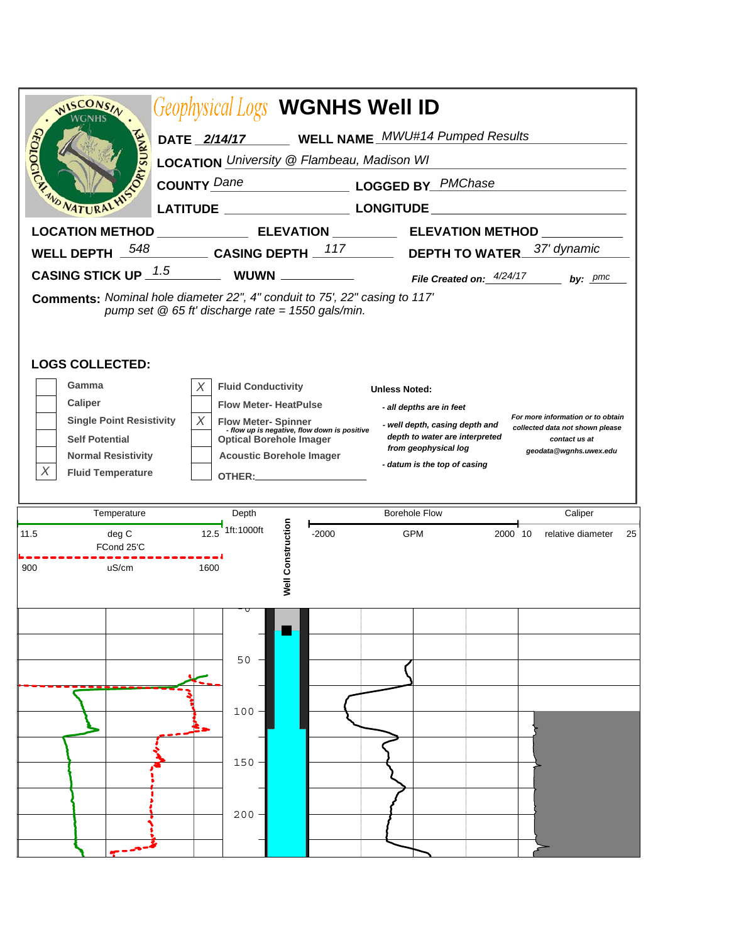| WISCONSIN                                                                                                                         | <b>Geophysical Logs WGNHS Well ID</b>                                          |                                                                                                        |    |  |  |  |  |  |  |
|-----------------------------------------------------------------------------------------------------------------------------------|--------------------------------------------------------------------------------|--------------------------------------------------------------------------------------------------------|----|--|--|--|--|--|--|
| TIC'<br>DATE 2/14/17 WELL NAME MWU#14 Pumped Results                                                                              |                                                                                |                                                                                                        |    |  |  |  |  |  |  |
| URYSURY<br>LOCATION University @ Flambeau, Madison WI                                                                             |                                                                                |                                                                                                        |    |  |  |  |  |  |  |
| <b>COUNTY Dane</b><br>LOGGED BY PMChase                                                                                           |                                                                                |                                                                                                        |    |  |  |  |  |  |  |
|                                                                                                                                   |                                                                                |                                                                                                        |    |  |  |  |  |  |  |
|                                                                                                                                   |                                                                                | LOCATION METHOD _______________________ ELEVATION _______________ ELEVATION METHOD ______________      |    |  |  |  |  |  |  |
| 548<br><b>WELL DEPTH</b>                                                                                                          |                                                                                | 37' dynamic                                                                                            |    |  |  |  |  |  |  |
|                                                                                                                                   |                                                                                | CASING STICK UP $\frac{1.5}{2}$ WUWN $\frac{1.5}{2}$ File Created on: $\frac{4/24/17}{2}$<br>by: $pmc$ |    |  |  |  |  |  |  |
| Comments: Nominal hole diameter 22", 4" conduit to 75', 22" casing to 117'<br>pump set $@$ 65 ft' discharge rate = 1550 gals/min. |                                                                                |                                                                                                        |    |  |  |  |  |  |  |
| <b>LOGS COLLECTED:</b>                                                                                                            |                                                                                |                                                                                                        |    |  |  |  |  |  |  |
| Gamma<br>Caliper                                                                                                                  | X<br><b>Fluid Conductivity</b>                                                 | <b>Unless Noted:</b>                                                                                   |    |  |  |  |  |  |  |
| <b>Single Point Resistivity</b>                                                                                                   | <b>Flow Meter-HeatPulse</b><br>X<br><b>Flow Meter-Spinner</b>                  | - all depths are in feet<br>For more information or to obtain<br>- well depth, casing depth and        |    |  |  |  |  |  |  |
| <b>Self Potential</b>                                                                                                             | - flow up is negative, flow down is positive<br><b>Optical Borehole Imager</b> | collected data not shown please<br>depth to water are interpreted<br>contact us at                     |    |  |  |  |  |  |  |
| <b>Normal Resistivity</b>                                                                                                         | <b>Acoustic Borehole Imager</b>                                                | from geophysical log<br>geodata@wgnhs.uwex.edu<br>- datum is the top of casing                         |    |  |  |  |  |  |  |
| Χ<br><b>Fluid Temperature</b>                                                                                                     |                                                                                |                                                                                                        |    |  |  |  |  |  |  |
| Temperature                                                                                                                       | Depth                                                                          | <b>Borehole Flow</b><br>Caliper                                                                        |    |  |  |  |  |  |  |
| 11.5<br>deg C<br>FCond 25'C                                                                                                       | 1ft:1000ft<br>12.5<br>$-2000$                                                  | <b>GPM</b><br>2000 10<br>relative diameter                                                             | 25 |  |  |  |  |  |  |
| 900<br>uS/cm                                                                                                                      | <b>Well Construction</b><br>1600                                               |                                                                                                        |    |  |  |  |  |  |  |
|                                                                                                                                   | 50                                                                             |                                                                                                        |    |  |  |  |  |  |  |
|                                                                                                                                   | $100 -$                                                                        |                                                                                                        |    |  |  |  |  |  |  |
|                                                                                                                                   | 150                                                                            |                                                                                                        |    |  |  |  |  |  |  |
|                                                                                                                                   | 200                                                                            |                                                                                                        |    |  |  |  |  |  |  |
|                                                                                                                                   |                                                                                |                                                                                                        |    |  |  |  |  |  |  |